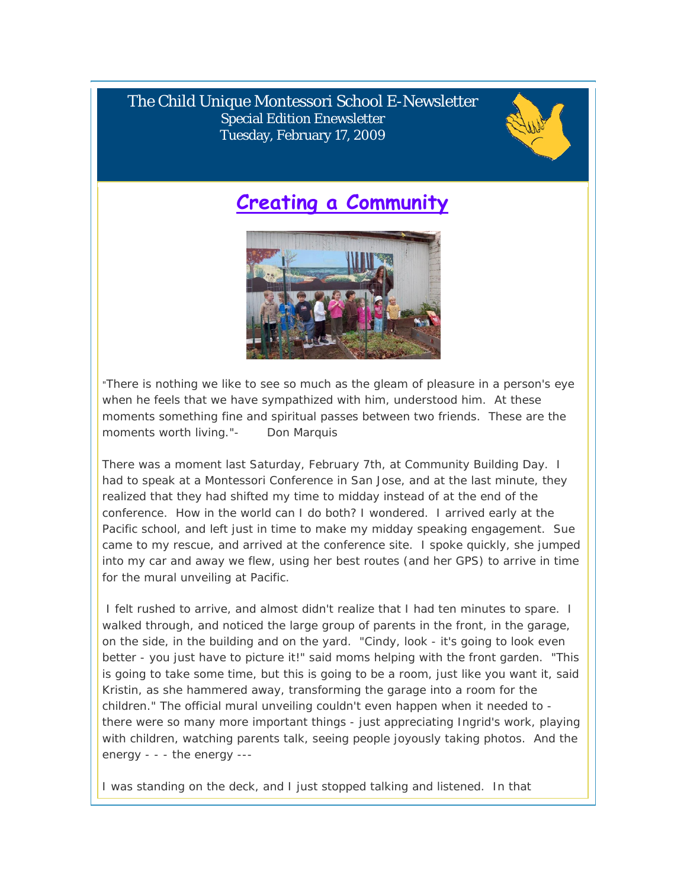The Child Unique Montessori School E-Newsletter Special Edition Enewsletter Tuesday, February 17, 2009



### **Creating a Community**



"There is nothing we like to see so much as the gleam of pleasure in a person's eye when he feels that we have sympathized with him, understood him. At these moments something fine and spiritual passes between two friends. These are the moments worth living."- Don Marquis

There was a moment last Saturday, February 7th, at Community Building Day. I had to speak at a Montessori Conference in San Jose, and at the last minute, they realized that they had shifted my time to midday instead of at the end of the conference. How in the world can I do both? I wondered. I arrived early at the Pacific school, and left just in time to make my midday speaking engagement. Sue came to my rescue, and arrived at the conference site. I spoke quickly, she jumped into my car and away we flew, using her best routes (and her GPS) to arrive in time for the mural unveiling at Pacific.

 I felt rushed to arrive, and almost didn't realize that I had ten minutes to spare. I walked through, and noticed the large group of parents in the front, in the garage, on the side, in the building and on the yard. "Cindy, look - it's going to look even better - you just have to picture it!" said moms helping with the front garden. "This is going to take some time, but this is going to be a room, just like you want it, said Kristin, as she hammered away, transforming the garage into a room for the children." The official mural unveiling couldn't even happen when it needed to there were so many more important things - just appreciating Ingrid's work, playing with children, watching parents talk, seeing people joyously taking photos. And the energy - - - the energy ---

I was standing on the deck, and I just stopped talking and listened. In that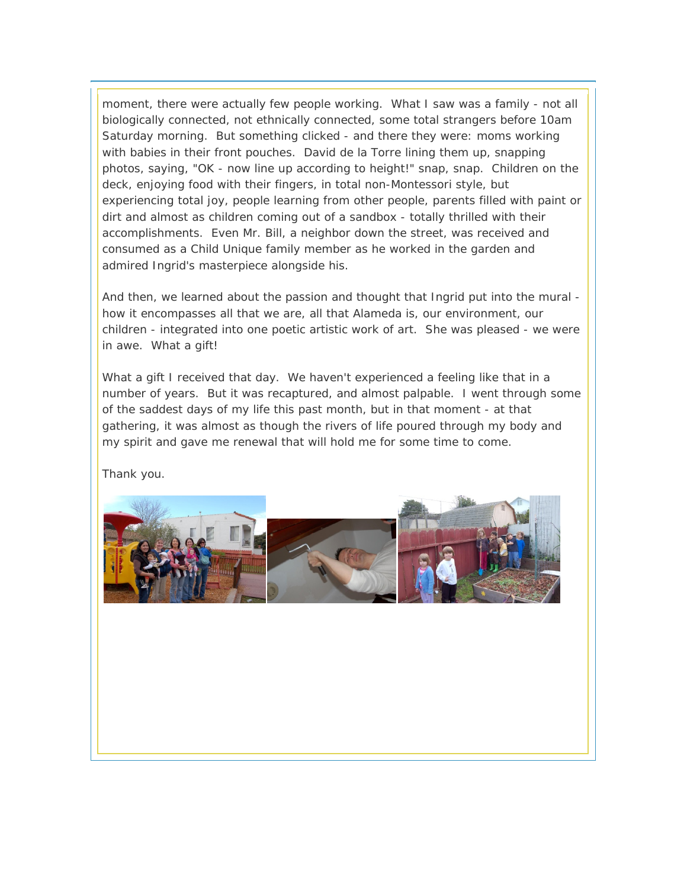moment, there were actually few people working. What I saw was a family - not all biologically connected, not ethnically connected, some total strangers before 10am Saturday morning. But something clicked - and there they were: moms working with babies in their front pouches. David de la Torre lining them up, snapping photos, saying, "OK - now line up according to height!" snap, snap. Children on the deck, enjoying food with their fingers, in total non-Montessori style, but experiencing total joy, people learning from other people, parents filled with paint or dirt and almost as children coming out of a sandbox - totally thrilled with their accomplishments. Even Mr. Bill, a neighbor down the street, was received and consumed as a Child Unique family member as he worked in the garden and admired Ingrid's masterpiece alongside his.

And then, we learned about the passion and thought that Ingrid put into the mural how it encompasses all that we are, all that Alameda is, our environment, our children - integrated into one poetic artistic work of art. She was pleased - we were in awe. What a gift!

What a gift I received that day. We haven't experienced a feeling like that in a number of years. But it was recaptured, and almost palpable. I went through some of the saddest days of my life this past month, but in that moment - at that gathering, it was almost as though the rivers of life poured through my body and my spirit and gave me renewal that will hold me for some time to come.

Thank you.

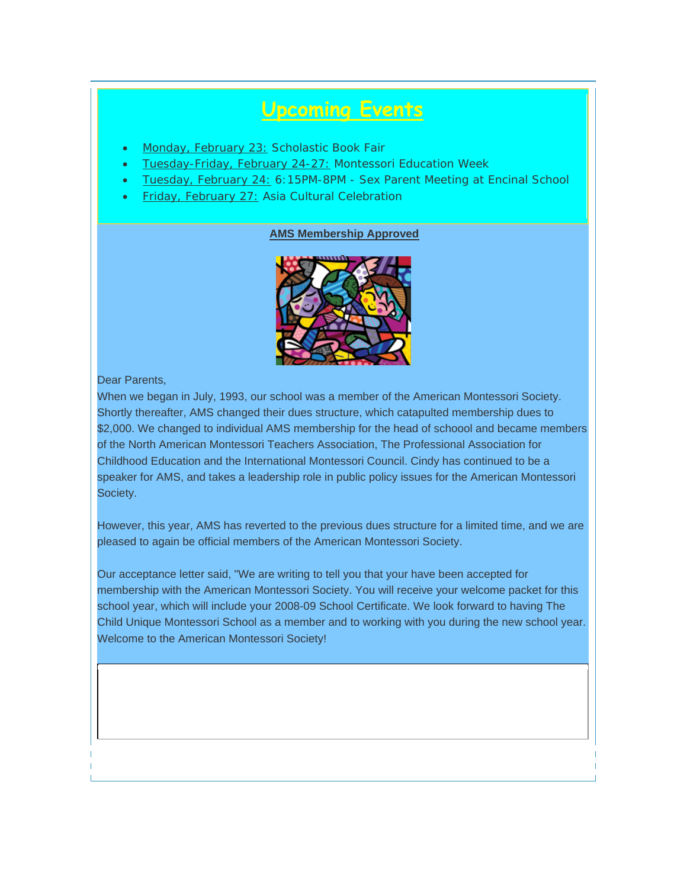## **Upcoming Events**

- Monday, February 23: Scholastic Book Fair
- Tuesday-Friday, February 24-27: Montessori Education Week
- Tuesday, February 24: 6:15PM-8PM Sex Parent Meeting at Encinal School
- **Friday, February 27: Asia Cultural Celebration**

#### **AMS Membership Approved**



Dear Parents,

When we began in July, 1993, our school was a member of the American Montessori Society. Shortly thereafter, AMS changed their dues structure, which catapulted membership dues to \$2,000. We changed to individual AMS membership for the head of schoool and became members of the North American Montessori Teachers Association, The Professional Association for Childhood Education and the International Montessori Council. Cindy has continued to be a speaker for AMS, and takes a leadership role in public policy issues for the American Montessori Society.

However, this year, AMS has reverted to the previous dues structure for a limited time, and we are pleased to again be official members of the American Montessori Society.

Our acceptance letter said, "We are writing to tell you that your have been accepted for membership with the American Montessori Society. You will receive your welcome packet for this school year, which will include your 2008-09 School Certificate. We look forward to having The Child Unique Montessori School as a member and to working with you during the new school year. Welcome to the American Montessori Society!